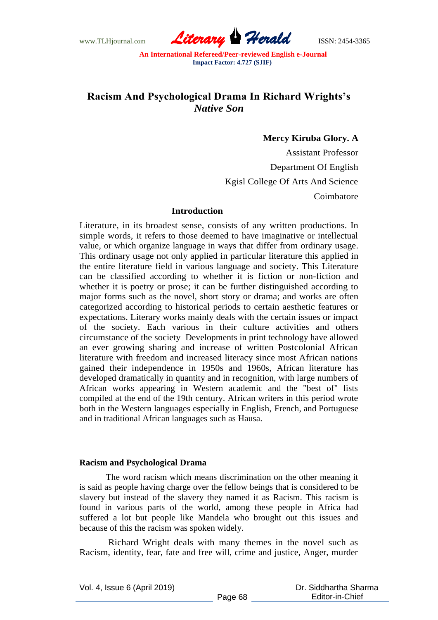www.TLHjournal.com *Literary Herald*ISSN: 2454-3365

# **Racism And Psychological Drama In Richard Wrights's**  *Native Son*

# **Mercy Kiruba Glory. A**

Assistant Professor Department Of English Kgisl College Of Arts And Science Coimbatore

#### **Introduction**

Literature, in its broadest sense, consists of any written productions. In simple words, it refers to those deemed to have imaginative or intellectual value, or which organize language in ways that differ from ordinary usage. This ordinary usage not only applied in particular literature this applied in the entire literature field in various language and society. This Literature can be classified according to whether it is fiction or non-fiction and whether it is poetry or prose; it can be further distinguished according to major forms such as the novel, short story or drama; and works are often categorized according to historical periods to certain aesthetic features or expectations. Literary works mainly deals with the certain issues or impact of the society. Each various in their culture activities and others circumstance of the society Developments in print technology have allowed an ever growing sharing and increase of written Postcolonial African literature with freedom and increased literacy since most African nations gained their independence in 1950s and 1960s, African literature has developed dramatically in quantity and in recognition, with large numbers of African works appearing in Western academic and the "best of" lists compiled at the end of the 19th century. African writers in this period wrote both in the Western languages especially in English, French, and Portuguese and in traditional African languages such as Hausa.

### **Racism and Psychological Drama**

The word racism which means discrimination on the other meaning it is said as people having charge over the fellow beings that is considered to be slavery but instead of the slavery they named it as Racism. This racism is found in various parts of the world, among these people in Africa had suffered a lot but people like Mandela who brought out this issues and because of this the racism was spoken widely.

Richard Wright deals with many themes in the novel such as Racism, identity, fear, fate and free will, crime and justice, Anger, murder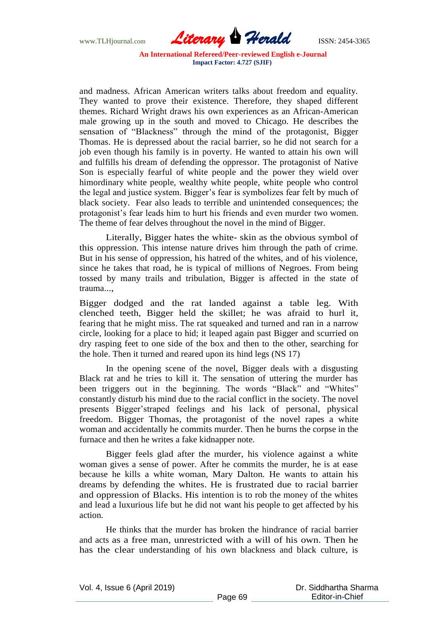www.TLHjournal.com *Literary Herald*ISSN: 2454-3365

and madness. African American writers talks about freedom and equality. They wanted to prove their existence. Therefore, they shaped different themes. Richard Wright draws his own experiences as an African-American male growing up in the south and moved to Chicago. He describes the sensation of "Blackness" through the mind of the protagonist, Bigger Thomas. He is depressed about the racial barrier, so he did not search for a job even though his family is in poverty. He wanted to attain his own will and fulfills his dream of defending the oppressor. The protagonist of Native Son is especially fearful of white people and the power they wield over himordinary white people, wealthy white people, white people who control the legal and justice system. Bigger's fear is symbolizes fear felt by much of black society. Fear also leads to terrible and unintended consequences; the protagonist's fear leads him to hurt his friends and even murder two women. The theme of fear delves throughout the novel in the mind of Bigger.

Literally, Bigger hates the white- skin as the obvious symbol of this oppression. This intense nature drives him through the path of crime. But in his sense of oppression, his hatred of the whites, and of his violence, since he takes that road, he is typical of millions of Negroes. From being tossed by many trails and tribulation, Bigger is affected in the state of trauma...,

Bigger dodged and the rat landed against a table leg. With clenched teeth, Bigger held the skillet; he was afraid to hurl it, fearing that he might miss. The rat squeaked and turned and ran in a narrow circle, looking for a place to hid; it leaped again past Bigger and scurried on dry rasping feet to one side of the box and then to the other, searching for the hole. Then it turned and reared upon its hind legs (NS 17)

In the opening scene of the novel, Bigger deals with a disgusting Black rat and he tries to kill it. The sensation of uttering the murder has been triggers out in the beginning. The words "Black" and "Whites" constantly disturb his mind due to the racial conflict in the society. The novel presents Bigger'straped feelings and his lack of personal, physical freedom. Bigger Thomas, the protagonist of the novel rapes a white woman and accidentally he commits murder. Then he burns the corpse in the furnace and then he writes a fake kidnapper note.

Bigger feels glad after the murder, his violence against a white woman gives a sense of power. After he commits the murder, he is at ease because he kills a white woman, Mary Dalton. He wants to attain his dreams by defending the whites. He is frustrated due to racial barrier and oppression of Blacks. His intention is to rob the money of the whites and lead a luxurious life but he did not want his people to get affected by his action.

He thinks that the murder has broken the hindrance of racial barrier and acts as a free man, unrestricted with a will of his own. Then he has the clear understanding of his own blackness and black culture, is

Vol. 4, Issue 6 (April 2019)

 Dr. Siddhartha Sharma Editor-in-Chief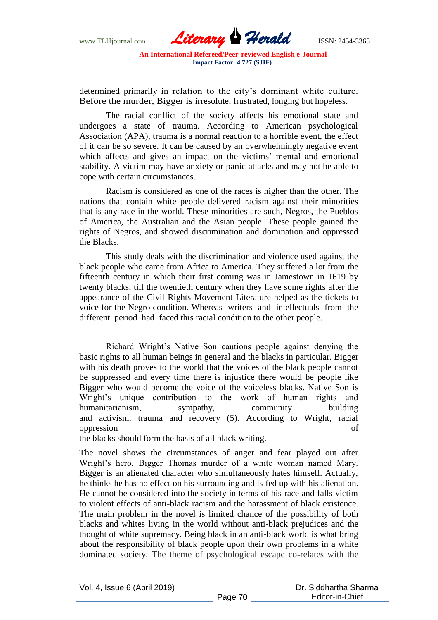www.TLHjournal.com *Literary Herald*ISSN: 2454-3365

determined primarily in relation to the city's dominant white culture. Before the murder, Bigger is irresolute, frustrated, longing but hopeless.

The racial conflict of the society affects his emotional state and undergoes a state of trauma. According to American psychological Association (APA), trauma is a normal reaction to a horrible event, the effect of it can be so severe. It can be caused by an overwhelmingly negative event which affects and gives an impact on the victims' mental and emotional stability. A victim may have anxiety or panic attacks and may not be able to cope with certain circumstances.

Racism is considered as one of the races is higher than the other. The nations that contain white people delivered racism against their minorities that is any race in the world. These minorities are such, Negros, the Pueblos of America, the Australian and the Asian people. These people gained the rights of Negros, and showed discrimination and domination and oppressed the Blacks.

This study deals with the discrimination and violence used against the black people who came from Africa to America. They suffered a lot from the fifteenth century in which their first coming was in Jamestown in 1619 by twenty blacks, till the twentieth century when they have some rights after the appearance of the Civil Rights Movement Literature helped as the tickets to voice for the Negro condition. Whereas writers and intellectuals from the different period had faced this racial condition to the other people.

Richard Wright's Native Son cautions people against denying the basic rights to all human beings in general and the blacks in particular. Bigger with his death proves to the world that the voices of the black people cannot be suppressed and every time there is injustice there would be people like Bigger who would become the voice of the voiceless blacks. Native Son is Wright's unique contribution to the work of human rights and humanitarianism, sympathy, community building and activism, trauma and recovery (5). According to Wright, racial oppression of

the blacks should form the basis of all black writing.

The novel shows the circumstances of anger and fear played out after Wright's hero, Bigger Thomas murder of a white woman named Mary. Bigger is an alienated character who simultaneously hates himself. Actually, he thinks he has no effect on his surrounding and is fed up with his alienation. He cannot be considered into the society in terms of his race and falls victim to violent effects of anti-black racism and the harassment of black existence. The main problem in the novel is limited chance of the possibility of both blacks and whites living in the world without anti-black prejudices and the thought of white supremacy. Being black in an anti-black world is what bring about the responsibility of black people upon their own problems in a white dominated society. The theme of psychological escape co-relates with the